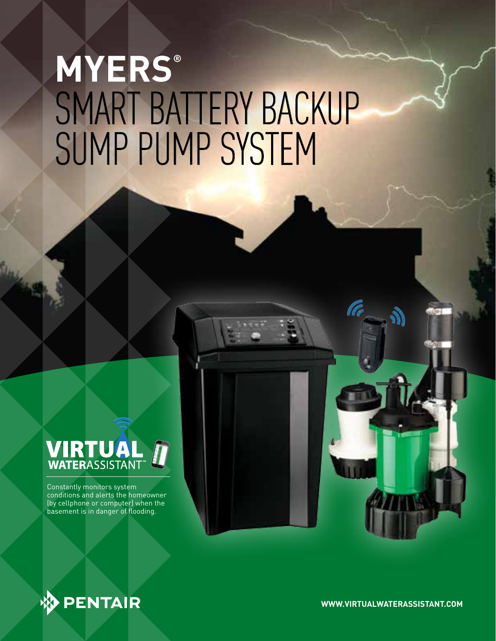# SMART BATTERY BACKUP SUMP PUMP SYSTEM **MYERS®**

# **VIRTUAL**

Constantly monitors system conditions and alerts the homeowner (by cellphone or computer) when the basement is in danger of flooding.

### **PENTAIR**

**WWW.VIRTUALWATERASSISTANT.COM**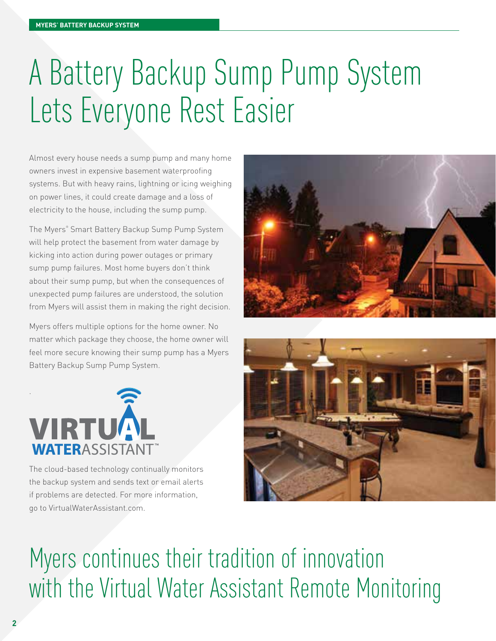# A Battery Backup Sump Pump System Lets Everyone Rest Easier

Almost every house needs a sump pump and many home owners invest in expensive basement waterproofing systems. But with heavy rains, lightning or icing weighing on power lines, it could create damage and a loss of electricity to the house, including the sump pump.

The Myers® Smart Battery Backup Sump Pump System will help protect the basement from water damage by kicking into action during power outages or primary sump pump failures. Most home buyers don't think about their sump pump, but when the consequences of unexpected pump failures are understood, the solution from Myers will assist them in making the right decision.

Myers offers multiple options for the home owner. No matter which package they choose, the home owner will feel more secure knowing their sump pump has a Myers Battery Backup Sump Pump System.





The cloud-based technology continually monitors the backup system and sends text or email alerts if problems are detected. For more information, go to VirtualWaterAssistant.com.



### Myers continues their tradition of innovation with the Virtual Water Assistant Remote Monitoring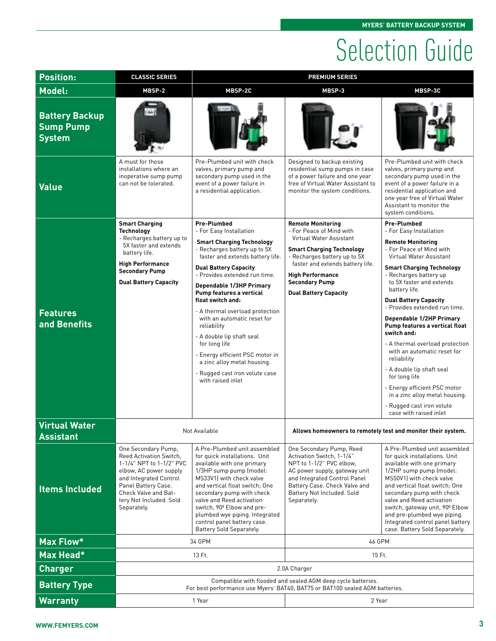## Selection Guide

| <b>Position:</b>                                           | <b>CLASSIC SERIES</b>                                                                                                                                                                                                          | <b>PREMIUM SERIES</b>                                                                                                                                                                                                                                                                                                                                                                                                                                                                                                                                              |                                                                                                                                                                                                                                                                             |                                                                                                                                                                                                                                                                                                                                                                                                                                                                                                                                                                                                                                                   |  |  |  |
|------------------------------------------------------------|--------------------------------------------------------------------------------------------------------------------------------------------------------------------------------------------------------------------------------|--------------------------------------------------------------------------------------------------------------------------------------------------------------------------------------------------------------------------------------------------------------------------------------------------------------------------------------------------------------------------------------------------------------------------------------------------------------------------------------------------------------------------------------------------------------------|-----------------------------------------------------------------------------------------------------------------------------------------------------------------------------------------------------------------------------------------------------------------------------|---------------------------------------------------------------------------------------------------------------------------------------------------------------------------------------------------------------------------------------------------------------------------------------------------------------------------------------------------------------------------------------------------------------------------------------------------------------------------------------------------------------------------------------------------------------------------------------------------------------------------------------------------|--|--|--|
| Model:                                                     | MBSP-2                                                                                                                                                                                                                         | MBSP-2C                                                                                                                                                                                                                                                                                                                                                                                                                                                                                                                                                            | MBSP-3                                                                                                                                                                                                                                                                      | MBSP-3C                                                                                                                                                                                                                                                                                                                                                                                                                                                                                                                                                                                                                                           |  |  |  |
| <b>Battery Backup</b><br><b>Sump Pump</b><br><b>System</b> |                                                                                                                                                                                                                                |                                                                                                                                                                                                                                                                                                                                                                                                                                                                                                                                                                    |                                                                                                                                                                                                                                                                             |                                                                                                                                                                                                                                                                                                                                                                                                                                                                                                                                                                                                                                                   |  |  |  |
| <b>Value</b>                                               | A must for those<br>installations where an<br>inoperative sump pump<br>can not be tolerated.                                                                                                                                   | Pre-Plumbed unit with check<br>valves, primary pump and<br>secondary pump used in the<br>event of a power failure in<br>a residential application.                                                                                                                                                                                                                                                                                                                                                                                                                 | Designed to backup existing<br>residential sump pumps in case<br>of a power failure and one year<br>free of Virtual Water Assistant to<br>monitor the system conditions.                                                                                                    | Pre-Plumbed unit with check<br>valves, primary pump and<br>secondary pump used in the<br>event of a power failure in a<br>residential application and<br>one year free of Virtual Water<br>Assistant to monitor the<br>system conditions.                                                                                                                                                                                                                                                                                                                                                                                                         |  |  |  |
| <b>Features</b><br>and Benefits                            | <b>Smart Charging</b><br><b>Technology</b><br>- Recharges battery up to<br>5X faster and extends<br>battery life.<br><b>High Performance</b><br><b>Secondary Pump</b><br><b>Dual Battery Capacity</b>                          | <b>Pre-Plumbed</b><br>- For Easy Installation<br><b>Smart Charging Technology</b><br>- Recharges battery up to 5X<br>faster and extends battery life.<br><b>Dual Battery Capacity</b><br>- Provides extended run time.<br><b>Dependable 1/3HP Primary</b><br>Pump features a vertical<br>float switch and:<br>- A thermal overload protection<br>with an automatic reset for<br>reliability<br>- A double lip shaft seal<br>for long life<br>- Energy efficient PSC motor in<br>a zinc alloy metal housing.<br>- Rugged cast iron volute case<br>with raised inlet | <b>Remote Monitoring</b><br>- For Peace of Mind with<br>Virtual Water Assistant<br><b>Smart Charging Technology</b><br>- Recharges battery up to 5X<br>faster and extends battery life.<br><b>High Performance</b><br><b>Secondary Pump</b><br><b>Dual Battery Capacity</b> | <b>Pre-Plumbed</b><br>- For Easy Installation<br><b>Remote Monitoring</b><br>- For Peace of Mind with<br>Virtual Water Assistant<br><b>Smart Charging Technology</b><br>- Recharges battery up<br>to 5X faster and extends<br>battery life.<br><b>Dual Battery Capacity</b><br>- Provides extended run time.<br>Dependable 1/2HP Primary<br>Pump features a vertical float<br>switch and:<br>- A thermal overload protection<br>with an automatic reset for<br>reliability<br>- A double lip shaft seal<br>for long life<br>- Energy efficient PSC motor<br>in a zinc alloy metal housing.<br>- Rugged cast iron volute<br>case with raised inlet |  |  |  |
| <b>Virtual Water</b><br><b>Assistant</b>                   |                                                                                                                                                                                                                                | Not Available                                                                                                                                                                                                                                                                                                                                                                                                                                                                                                                                                      | Allows homeowners to remotely test and monitor their system.                                                                                                                                                                                                                |                                                                                                                                                                                                                                                                                                                                                                                                                                                                                                                                                                                                                                                   |  |  |  |
| <b>Items Included</b>                                      | One Secondary Pump,<br><b>Reed Activation Switch.</b><br>1-1/4" NPT to 1-1/2" PVC<br>elbow, AC power supply<br>and Integrated Control<br>Panel Battery Case.<br>Check Valve and Bat-<br>tery Not Included. Sold<br>Separately. | A Pre-Plumbed unit assembled<br>for quick installations. Unit<br>available with one primary<br>1/3HP sump pump (model:<br>MS33V1) with check valve<br>and vertical float switch: One<br>secondary pump with check<br>valve and Reed activation<br>switch, 90° Elbow and pre-<br>plumbed wye piping. Integrated<br>control panel battery case.<br>Battery Sold Separately.                                                                                                                                                                                          | One Secondary Pump, Reed<br>Activation Switch, 1-1/4"<br>NPT to 1-1/2" PVC elbow,<br>AC power supply, gateway unit<br>and Integrated Control Panel<br>Battery Case. Check Valve and<br>Battery Not Included. Sold<br>Separately.                                            | A Pre-Plumbed unit assembled<br>for quick installations. Unit<br>available with one primary<br>1/2HP sump pump (model:<br>MS50V1) with check valve<br>and vertical float switch: One<br>secondary pump with check<br>valve and Reed activation<br>switch, gateway unit, 90° Elbow<br>and pre-plumbed wye piping.<br>Integrated control panel battery<br>case. Battery Sold Separately.                                                                                                                                                                                                                                                            |  |  |  |
| <b>Max Flow*</b>                                           |                                                                                                                                                                                                                                | 34 GPM                                                                                                                                                                                                                                                                                                                                                                                                                                                                                                                                                             | 46 GPM                                                                                                                                                                                                                                                                      |                                                                                                                                                                                                                                                                                                                                                                                                                                                                                                                                                                                                                                                   |  |  |  |
| Max Head*                                                  |                                                                                                                                                                                                                                | 13 Ft.                                                                                                                                                                                                                                                                                                                                                                                                                                                                                                                                                             | 15 Ft.                                                                                                                                                                                                                                                                      |                                                                                                                                                                                                                                                                                                                                                                                                                                                                                                                                                                                                                                                   |  |  |  |
| <b>Charger</b>                                             | 2.0A Charger                                                                                                                                                                                                                   |                                                                                                                                                                                                                                                                                                                                                                                                                                                                                                                                                                    |                                                                                                                                                                                                                                                                             |                                                                                                                                                                                                                                                                                                                                                                                                                                                                                                                                                                                                                                                   |  |  |  |
| <b>Battery Type</b>                                        | Compatible with flooded and sealed AGM deep cycle batteries.<br>For best performance use Myers <sup>®</sup> BAT40, BAT75 or BAT100 sealed AGM batteries.                                                                       |                                                                                                                                                                                                                                                                                                                                                                                                                                                                                                                                                                    |                                                                                                                                                                                                                                                                             |                                                                                                                                                                                                                                                                                                                                                                                                                                                                                                                                                                                                                                                   |  |  |  |
| <b>Warranty</b>                                            |                                                                                                                                                                                                                                | 1 Year                                                                                                                                                                                                                                                                                                                                                                                                                                                                                                                                                             | 2 Year                                                                                                                                                                                                                                                                      |                                                                                                                                                                                                                                                                                                                                                                                                                                                                                                                                                                                                                                                   |  |  |  |
|                                                            |                                                                                                                                                                                                                                |                                                                                                                                                                                                                                                                                                                                                                                                                                                                                                                                                                    |                                                                                                                                                                                                                                                                             |                                                                                                                                                                                                                                                                                                                                                                                                                                                                                                                                                                                                                                                   |  |  |  |